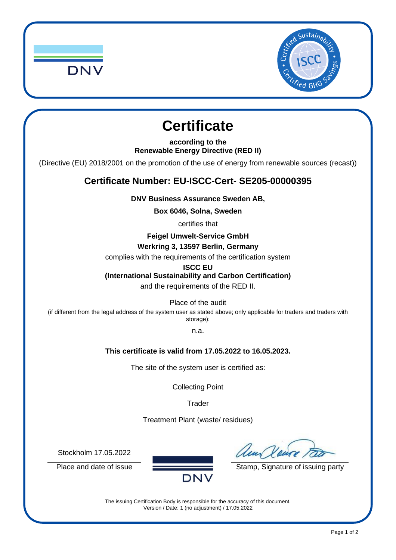



## **Certificate**

**according to the Renewable Energy Directive (RED II)**

(Directive (EU) 2018/2001 on the promotion of the use of energy from renewable sources (recast))

## **Certificate Number: EU-ISCC-Cert- SE205-00000395**

**DNV Business Assurance Sweden AB,**

**Box 6046, Solna, Sweden**

certifies that

**Feigel Umwelt-Service GmbH** 

**Werkring 3, 13597 Berlin, Germany**

complies with the requirements of the certification system

**ISCC EU**

**(International Sustainability and Carbon Certification)**

and the requirements of the RED II.

Place of the audit

(if different from the legal address of the system user as stated above; only applicable for traders and traders with storage):

n.a.

## **This certificate is valid from 17.05.2022 to 16.05.2023.**

The site of the system user is certified as:

Collecting Point

**Trader** 

Treatment Plant (waste/ residues)

Stockholm 17.05.2022

Place and date of issue **Stamp** Stamp, Signature of issuing party

The issuing Certification Body is responsible for the accuracy of this document. Version / Date: 1 (no adjustment) / 17.05.2022

**DNV**